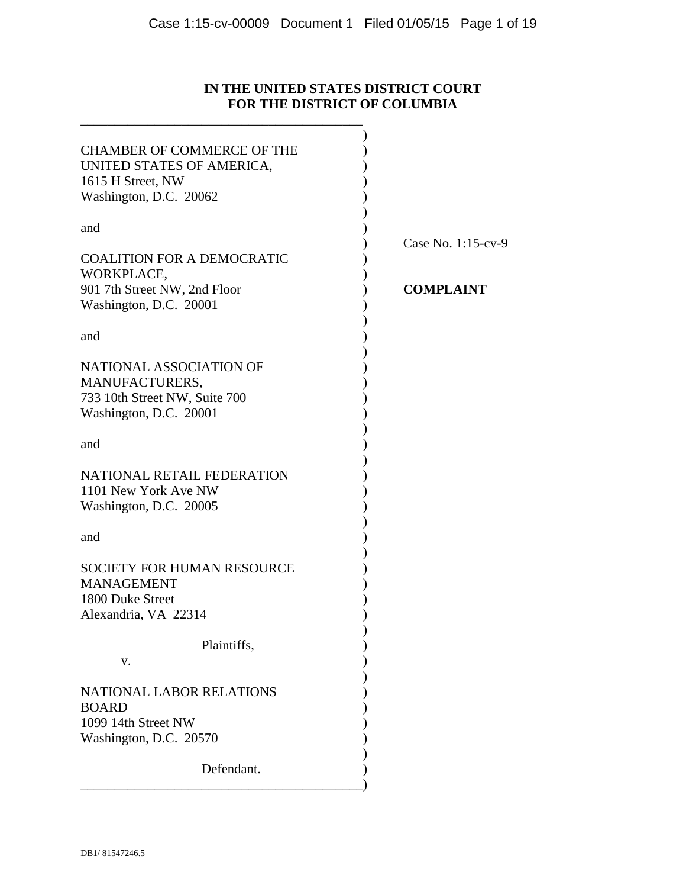# **IN THE UNITED STATES DISTRICT COURT FOR THE DISTRICT OF COLUMBIA**

\_\_\_\_\_\_\_\_\_\_\_\_\_\_\_\_\_\_\_\_\_\_\_\_\_\_\_\_\_\_\_\_\_\_\_\_\_\_\_\_\_\_

| <b>CHAMBER OF COMMERCE OF THE</b><br>UNITED STATES OF AMERICA,<br>1615 H Street, NW<br>Washington, D.C. 20062 |                    |
|---------------------------------------------------------------------------------------------------------------|--------------------|
| and                                                                                                           |                    |
| <b>COALITION FOR A DEMOCRATIC</b><br>WORKPLACE,                                                               | Case No. 1:15-cv-9 |
| 901 7th Street NW, 2nd Floor<br>Washington, D.C. 20001                                                        | <b>COMPLAINT</b>   |
| and                                                                                                           |                    |
| NATIONAL ASSOCIATION OF<br>MANUFACTURERS,<br>733 10th Street NW, Suite 700<br>Washington, D.C. 20001          |                    |
| and                                                                                                           |                    |
| NATIONAL RETAIL FEDERATION<br>1101 New York Ave NW<br>Washington, D.C. 20005                                  |                    |
| and                                                                                                           |                    |
| <b>SOCIETY FOR HUMAN RESOURCE</b><br><b>MANAGEMENT</b><br>1800 Duke Street<br>Alexandria, VA 22314            |                    |
| Plaintiffs,<br>v.                                                                                             |                    |
| <b>NATIONAL LABOR RELATIONS</b><br><b>BOARD</b><br>1099 14th Street NW<br>Washington, D.C. 20570              |                    |
| Defendant.                                                                                                    |                    |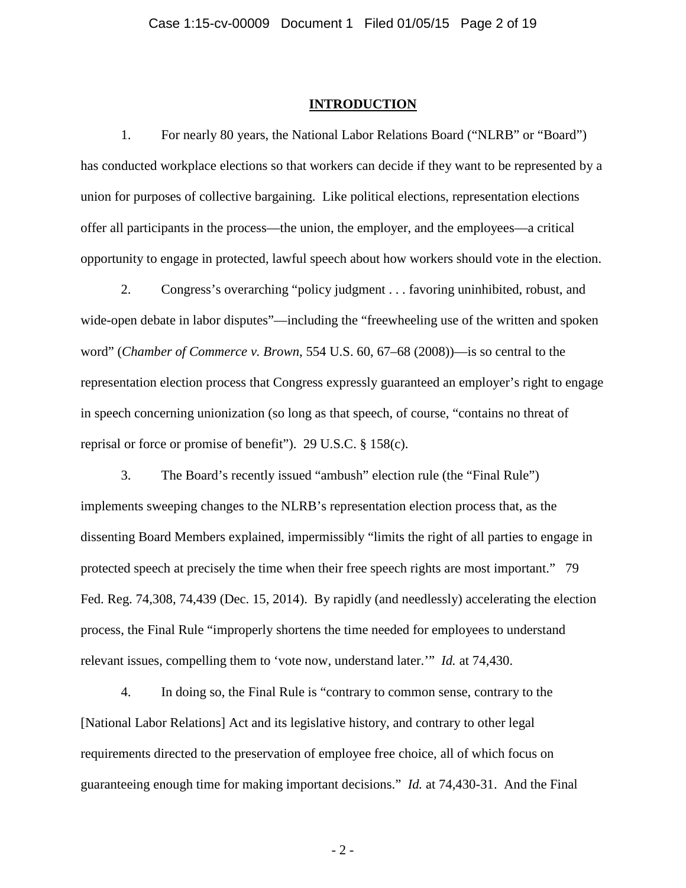#### **INTRODUCTION**

1. For nearly 80 years, the National Labor Relations Board ("NLRB" or "Board") has conducted workplace elections so that workers can decide if they want to be represented by a union for purposes of collective bargaining. Like political elections, representation elections offer all participants in the process—the union, the employer, and the employees—a critical opportunity to engage in protected, lawful speech about how workers should vote in the election.

2. Congress's overarching "policy judgment . . . favoring uninhibited, robust, and wide-open debate in labor disputes"—including the "freewheeling use of the written and spoken word" (*Chamber of Commerce v. Brown*, 554 U.S. 60, 67–68 (2008))—is so central to the representation election process that Congress expressly guaranteed an employer's right to engage in speech concerning unionization (so long as that speech, of course, "contains no threat of reprisal or force or promise of benefit"). 29 U.S.C. § 158(c).

3. The Board's recently issued "ambush" election rule (the "Final Rule") implements sweeping changes to the NLRB's representation election process that, as the dissenting Board Members explained, impermissibly "limits the right of all parties to engage in protected speech at precisely the time when their free speech rights are most important." 79 Fed. Reg. 74,308, 74,439 (Dec. 15, 2014). By rapidly (and needlessly) accelerating the election process, the Final Rule "improperly shortens the time needed for employees to understand relevant issues, compelling them to 'vote now, understand later.'" *Id.* at 74,430.

4. In doing so, the Final Rule is "contrary to common sense, contrary to the [National Labor Relations] Act and its legislative history, and contrary to other legal requirements directed to the preservation of employee free choice, all of which focus on guaranteeing enough time for making important decisions." *Id.* at 74,430-31. And the Final

- 2 -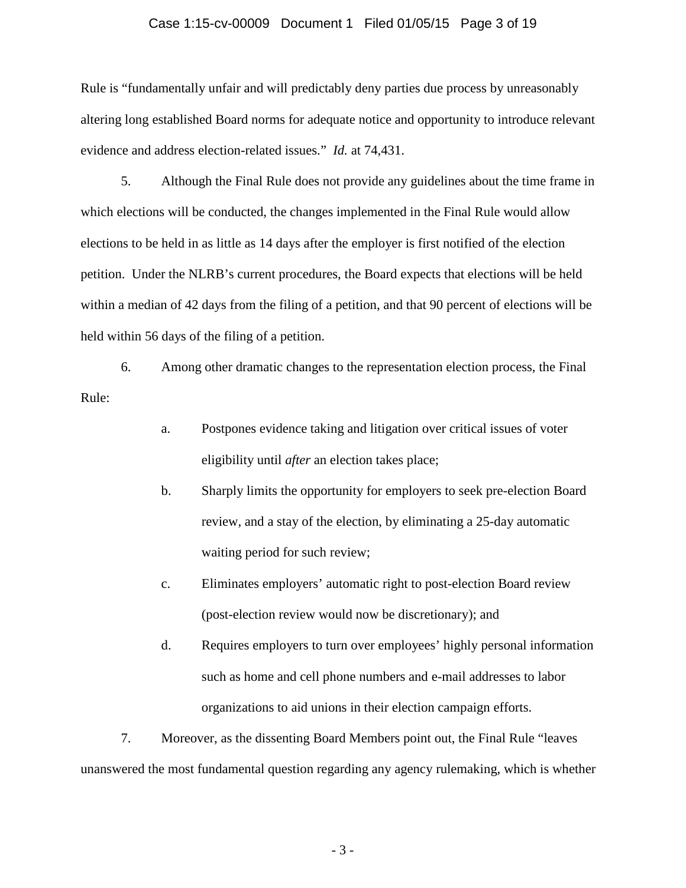#### Case 1:15-cv-00009 Document 1 Filed 01/05/15 Page 3 of 19

Rule is "fundamentally unfair and will predictably deny parties due process by unreasonably altering long established Board norms for adequate notice and opportunity to introduce relevant evidence and address election-related issues." *Id.* at 74,431.

5. Although the Final Rule does not provide any guidelines about the time frame in which elections will be conducted, the changes implemented in the Final Rule would allow elections to be held in as little as 14 days after the employer is first notified of the election petition. Under the NLRB's current procedures, the Board expects that elections will be held within a median of 42 days from the filing of a petition, and that 90 percent of elections will be held within 56 days of the filing of a petition.

6. Among other dramatic changes to the representation election process, the Final Rule:

- a. Postpones evidence taking and litigation over critical issues of voter eligibility until *after* an election takes place;
- b. Sharply limits the opportunity for employers to seek pre-election Board review, and a stay of the election, by eliminating a 25-day automatic waiting period for such review;
- c. Eliminates employers' automatic right to post-election Board review (post-election review would now be discretionary); and
- d. Requires employers to turn over employees' highly personal information such as home and cell phone numbers and e-mail addresses to labor organizations to aid unions in their election campaign efforts.

7. Moreover, as the dissenting Board Members point out, the Final Rule "leaves unanswered the most fundamental question regarding any agency rulemaking, which is whether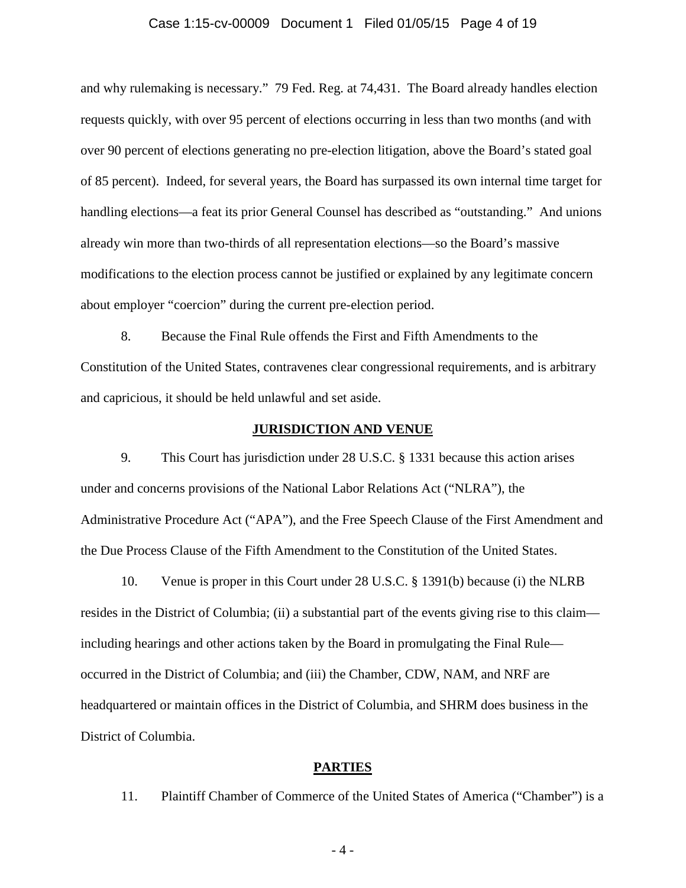#### Case 1:15-cv-00009 Document 1 Filed 01/05/15 Page 4 of 19

and why rulemaking is necessary." 79 Fed. Reg. at 74,431. The Board already handles election requests quickly, with over 95 percent of elections occurring in less than two months (and with over 90 percent of elections generating no pre-election litigation, above the Board's stated goal of 85 percent). Indeed, for several years, the Board has surpassed its own internal time target for handling elections—a feat its prior General Counsel has described as "outstanding." And unions already win more than two-thirds of all representation elections—so the Board's massive modifications to the election process cannot be justified or explained by any legitimate concern about employer "coercion" during the current pre-election period.

8. Because the Final Rule offends the First and Fifth Amendments to the Constitution of the United States, contravenes clear congressional requirements, and is arbitrary and capricious, it should be held unlawful and set aside.

## **JURISDICTION AND VENUE**

9. This Court has jurisdiction under 28 U.S.C. § 1331 because this action arises under and concerns provisions of the National Labor Relations Act ("NLRA"), the Administrative Procedure Act ("APA"), and the Free Speech Clause of the First Amendment and the Due Process Clause of the Fifth Amendment to the Constitution of the United States.

10. Venue is proper in this Court under 28 U.S.C. § 1391(b) because (i) the NLRB resides in the District of Columbia; (ii) a substantial part of the events giving rise to this claim including hearings and other actions taken by the Board in promulgating the Final Rule occurred in the District of Columbia; and (iii) the Chamber, CDW, NAM, and NRF are headquartered or maintain offices in the District of Columbia, and SHRM does business in the District of Columbia.

## **PARTIES**

11. Plaintiff Chamber of Commerce of the United States of America ("Chamber") is a

- 4 -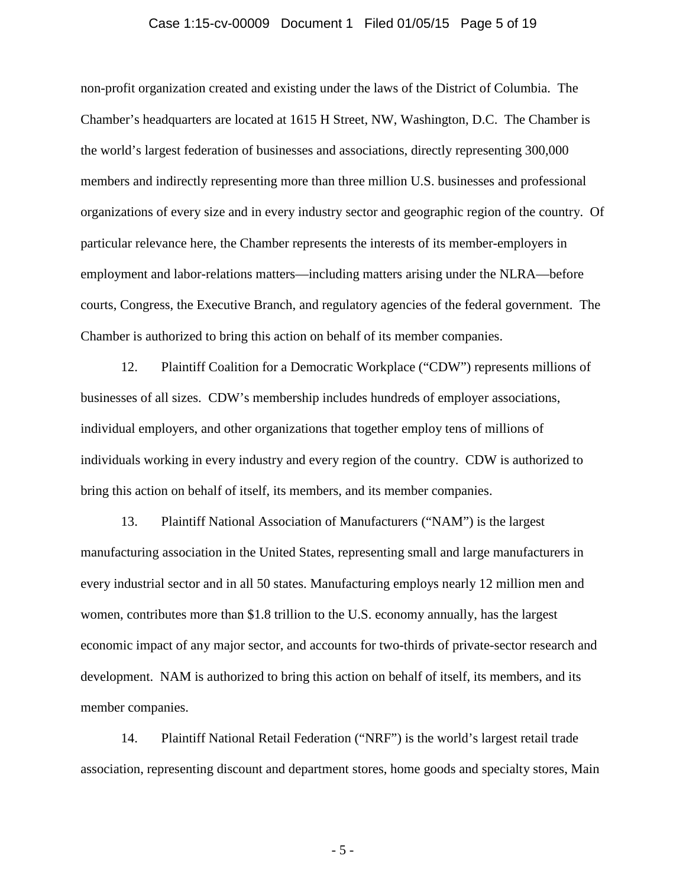#### Case 1:15-cv-00009 Document 1 Filed 01/05/15 Page 5 of 19

non-profit organization created and existing under the laws of the District of Columbia. The Chamber's headquarters are located at 1615 H Street, NW, Washington, D.C. The Chamber is the world's largest federation of businesses and associations, directly representing 300,000 members and indirectly representing more than three million U.S. businesses and professional organizations of every size and in every industry sector and geographic region of the country. Of particular relevance here, the Chamber represents the interests of its member-employers in employment and labor-relations matters—including matters arising under the NLRA—before courts, Congress, the Executive Branch, and regulatory agencies of the federal government. The Chamber is authorized to bring this action on behalf of its member companies.

12. Plaintiff Coalition for a Democratic Workplace ("CDW") represents millions of businesses of all sizes. CDW's membership includes hundreds of employer associations, individual employers, and other organizations that together employ tens of millions of individuals working in every industry and every region of the country. CDW is authorized to bring this action on behalf of itself, its members, and its member companies.

13. Plaintiff National Association of Manufacturers ("NAM") is the largest manufacturing association in the United States, representing small and large manufacturers in every industrial sector and in all 50 states. Manufacturing employs nearly 12 million men and women, contributes more than \$1.8 trillion to the U.S. economy annually, has the largest economic impact of any major sector, and accounts for two-thirds of private-sector research and development. NAM is authorized to bring this action on behalf of itself, its members, and its member companies.

14. Plaintiff National Retail Federation ("NRF") is the world's largest retail trade association, representing discount and department stores, home goods and specialty stores, Main

- 5 -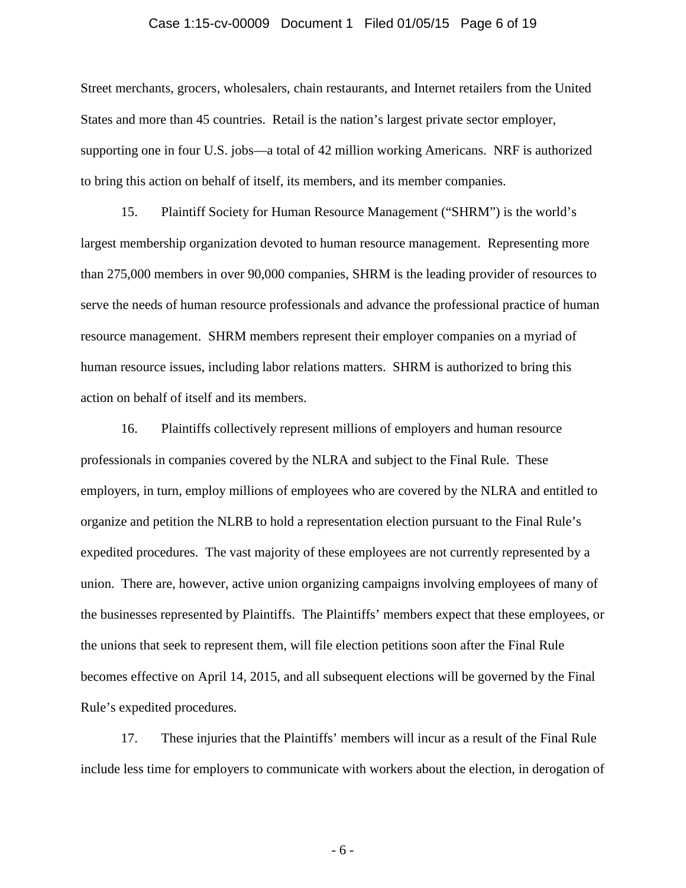#### Case 1:15-cv-00009 Document 1 Filed 01/05/15 Page 6 of 19

Street merchants, grocers, wholesalers, chain restaurants, and Internet retailers from the United States and more than 45 countries. Retail is the nation's largest private sector employer, supporting one in four U.S. jobs—a total of 42 million working Americans. NRF is authorized to bring this action on behalf of itself, its members, and its member companies.

15. Plaintiff Society for Human Resource Management ("SHRM") is the world's largest membership organization devoted to human resource management. Representing more than 275,000 members in over 90,000 companies, SHRM is the leading provider of resources to serve the needs of human resource professionals and advance the professional practice of human resource management. SHRM members represent their employer companies on a myriad of human resource issues, including labor relations matters. SHRM is authorized to bring this action on behalf of itself and its members.

16. Plaintiffs collectively represent millions of employers and human resource professionals in companies covered by the NLRA and subject to the Final Rule. These employers, in turn, employ millions of employees who are covered by the NLRA and entitled to organize and petition the NLRB to hold a representation election pursuant to the Final Rule's expedited procedures. The vast majority of these employees are not currently represented by a union. There are, however, active union organizing campaigns involving employees of many of the businesses represented by Plaintiffs. The Plaintiffs' members expect that these employees, or the unions that seek to represent them, will file election petitions soon after the Final Rule becomes effective on April 14, 2015, and all subsequent elections will be governed by the Final Rule's expedited procedures.

17. These injuries that the Plaintiffs' members will incur as a result of the Final Rule include less time for employers to communicate with workers about the election, in derogation of

- 6 -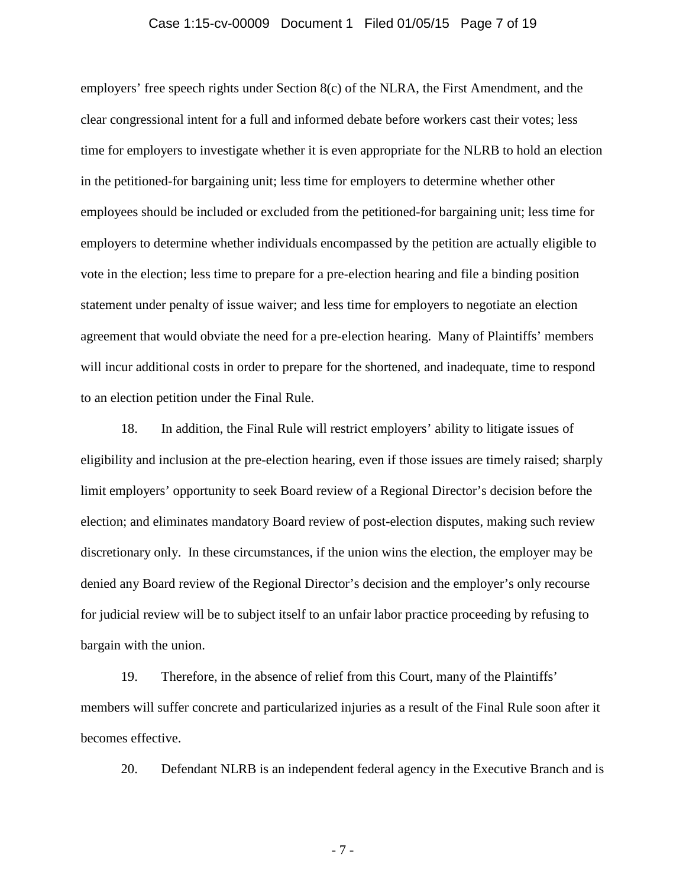#### Case 1:15-cv-00009 Document 1 Filed 01/05/15 Page 7 of 19

employers' free speech rights under Section 8(c) of the NLRA, the First Amendment, and the clear congressional intent for a full and informed debate before workers cast their votes; less time for employers to investigate whether it is even appropriate for the NLRB to hold an election in the petitioned-for bargaining unit; less time for employers to determine whether other employees should be included or excluded from the petitioned-for bargaining unit; less time for employers to determine whether individuals encompassed by the petition are actually eligible to vote in the election; less time to prepare for a pre-election hearing and file a binding position statement under penalty of issue waiver; and less time for employers to negotiate an election agreement that would obviate the need for a pre-election hearing. Many of Plaintiffs' members will incur additional costs in order to prepare for the shortened, and inadequate, time to respond to an election petition under the Final Rule.

18. In addition, the Final Rule will restrict employers' ability to litigate issues of eligibility and inclusion at the pre-election hearing, even if those issues are timely raised; sharply limit employers' opportunity to seek Board review of a Regional Director's decision before the election; and eliminates mandatory Board review of post-election disputes, making such review discretionary only. In these circumstances, if the union wins the election, the employer may be denied any Board review of the Regional Director's decision and the employer's only recourse for judicial review will be to subject itself to an unfair labor practice proceeding by refusing to bargain with the union.

19. Therefore, in the absence of relief from this Court, many of the Plaintiffs' members will suffer concrete and particularized injuries as a result of the Final Rule soon after it becomes effective.

20. Defendant NLRB is an independent federal agency in the Executive Branch and is

- 7 -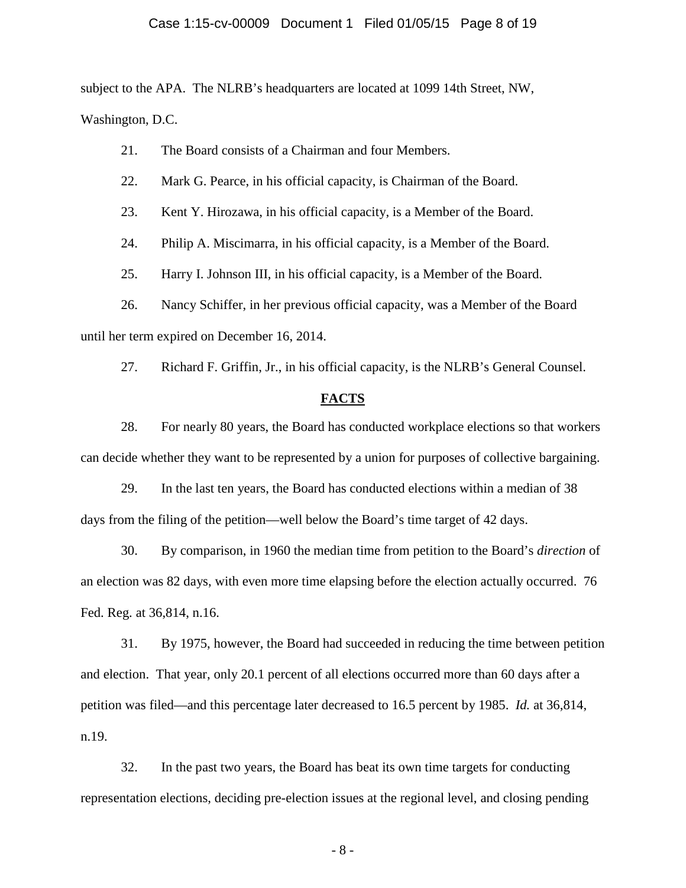#### Case 1:15-cv-00009 Document 1 Filed 01/05/15 Page 8 of 19

subject to the APA. The NLRB's headquarters are located at 1099 14th Street, NW, Washington, D.C.

21. The Board consists of a Chairman and four Members.

22. Mark G. Pearce, in his official capacity, is Chairman of the Board.

23. Kent Y. Hirozawa, in his official capacity, is a Member of the Board.

24. Philip A. Miscimarra, in his official capacity, is a Member of the Board.

25. Harry I. Johnson III, in his official capacity, is a Member of the Board.

26. Nancy Schiffer, in her previous official capacity, was a Member of the Board until her term expired on December 16, 2014.

27. Richard F. Griffin, Jr., in his official capacity, is the NLRB's General Counsel.

## **FACTS**

28. For nearly 80 years, the Board has conducted workplace elections so that workers can decide whether they want to be represented by a union for purposes of collective bargaining.

29. In the last ten years, the Board has conducted elections within a median of 38 days from the filing of the petition—well below the Board's time target of 42 days.

30. By comparison, in 1960 the median time from petition to the Board's *direction* of an election was 82 days, with even more time elapsing before the election actually occurred. 76 Fed. Reg. at 36,814, n.16.

31. By 1975, however, the Board had succeeded in reducing the time between petition and election. That year, only 20.1 percent of all elections occurred more than 60 days after a petition was filed—and this percentage later decreased to 16.5 percent by 1985. *Id.* at 36,814, n.19.

32. In the past two years, the Board has beat its own time targets for conducting representation elections, deciding pre-election issues at the regional level, and closing pending

- 8 -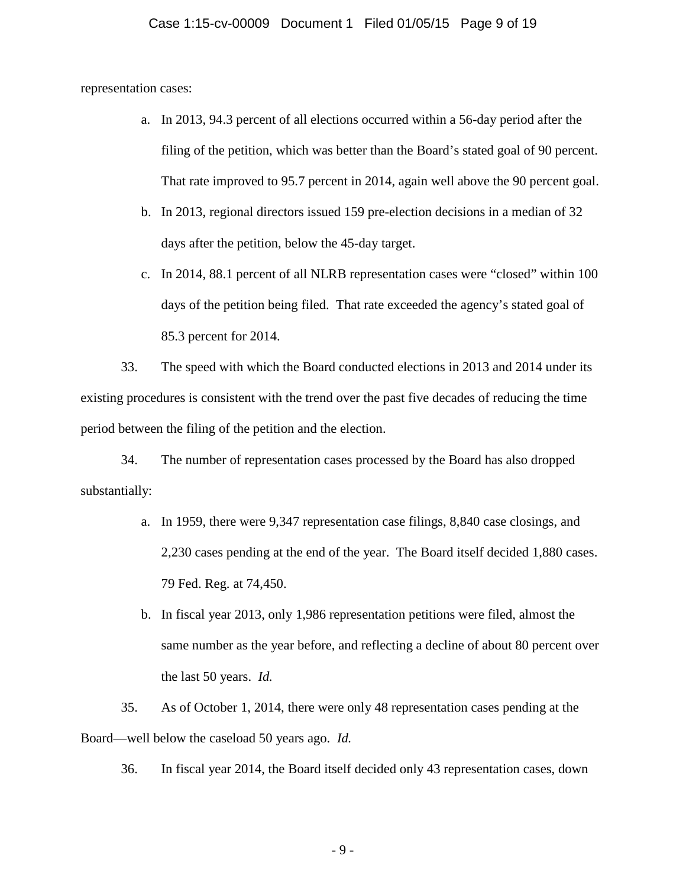representation cases:

- a. In 2013, 94.3 percent of all elections occurred within a 56-day period after the filing of the petition, which was better than the Board's stated goal of 90 percent. That rate improved to 95.7 percent in 2014, again well above the 90 percent goal.
- b. In 2013, regional directors issued 159 pre-election decisions in a median of 32 days after the petition, below the 45-day target.
- c. In 2014, 88.1 percent of all NLRB representation cases were "closed" within 100 days of the petition being filed. That rate exceeded the agency's stated goal of 85.3 percent for 2014.

33. The speed with which the Board conducted elections in 2013 and 2014 under its existing procedures is consistent with the trend over the past five decades of reducing the time period between the filing of the petition and the election.

34. The number of representation cases processed by the Board has also dropped substantially:

- a. In 1959, there were 9,347 representation case filings, 8,840 case closings, and 2,230 cases pending at the end of the year. The Board itself decided 1,880 cases. 79 Fed. Reg. at 74,450.
- b. In fiscal year 2013, only 1,986 representation petitions were filed, almost the same number as the year before, and reflecting a decline of about 80 percent over the last 50 years. *Id.*

35. As of October 1, 2014, there were only 48 representation cases pending at the Board—well below the caseload 50 years ago. *Id.*

36. In fiscal year 2014, the Board itself decided only 43 representation cases, down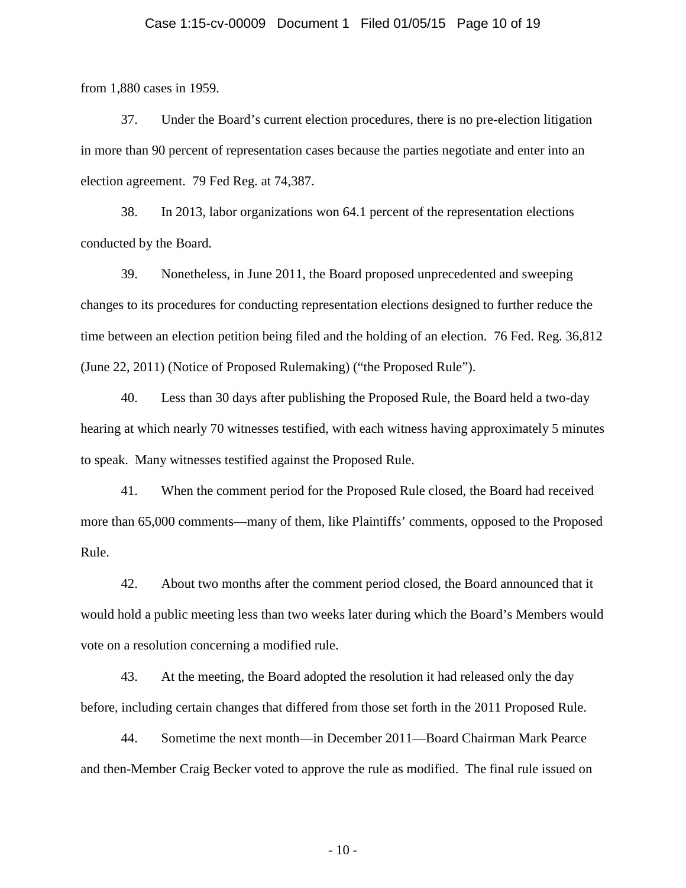#### Case 1:15-cv-00009 Document 1 Filed 01/05/15 Page 10 of 19

from 1,880 cases in 1959.

37. Under the Board's current election procedures, there is no pre-election litigation in more than 90 percent of representation cases because the parties negotiate and enter into an election agreement. 79 Fed Reg. at 74,387.

38. In 2013, labor organizations won 64.1 percent of the representation elections conducted by the Board.

39. Nonetheless, in June 2011, the Board proposed unprecedented and sweeping changes to its procedures for conducting representation elections designed to further reduce the time between an election petition being filed and the holding of an election. 76 Fed. Reg. 36,812 (June 22, 2011) (Notice of Proposed Rulemaking) ("the Proposed Rule").

40. Less than 30 days after publishing the Proposed Rule, the Board held a two-day hearing at which nearly 70 witnesses testified, with each witness having approximately 5 minutes to speak. Many witnesses testified against the Proposed Rule.

41. When the comment period for the Proposed Rule closed, the Board had received more than 65,000 comments—many of them, like Plaintiffs' comments, opposed to the Proposed Rule.

42. About two months after the comment period closed, the Board announced that it would hold a public meeting less than two weeks later during which the Board's Members would vote on a resolution concerning a modified rule.

43. At the meeting, the Board adopted the resolution it had released only the day before, including certain changes that differed from those set forth in the 2011 Proposed Rule.

44. Sometime the next month—in December 2011—Board Chairman Mark Pearce and then-Member Craig Becker voted to approve the rule as modified. The final rule issued on

- 10 -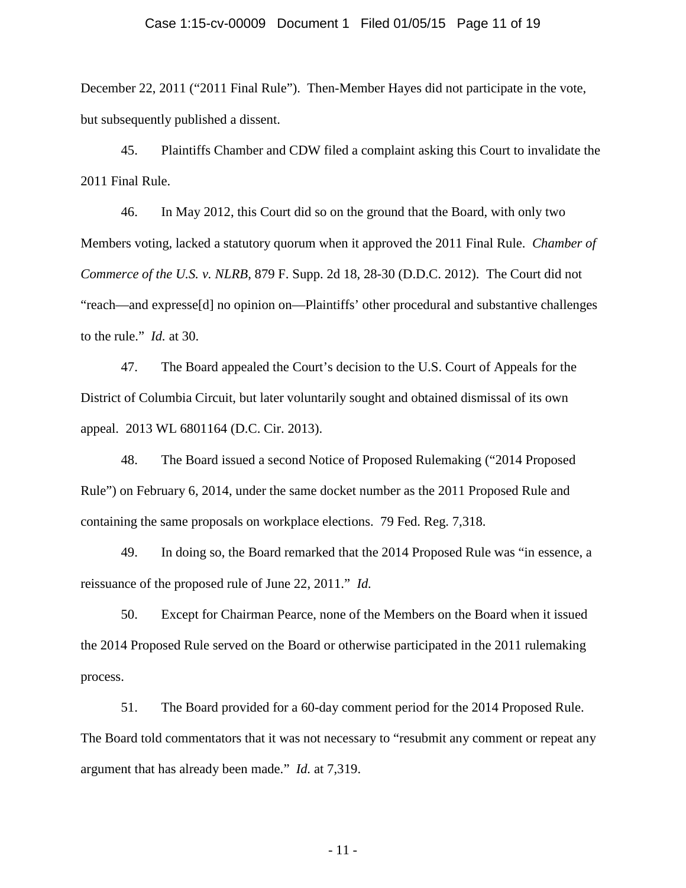#### Case 1:15-cv-00009 Document 1 Filed 01/05/15 Page 11 of 19

December 22, 2011 ("2011 Final Rule"). Then-Member Hayes did not participate in the vote, but subsequently published a dissent.

45. Plaintiffs Chamber and CDW filed a complaint asking this Court to invalidate the 2011 Final Rule.

46. In May 2012, this Court did so on the ground that the Board, with only two Members voting, lacked a statutory quorum when it approved the 2011 Final Rule. *Chamber of Commerce of the U.S. v. NLRB*, 879 F. Supp. 2d 18, 28-30 (D.D.C. 2012). The Court did not "reach—and expresse[d] no opinion on—Plaintiffs' other procedural and substantive challenges to the rule." *Id.* at 30.

47. The Board appealed the Court's decision to the U.S. Court of Appeals for the District of Columbia Circuit, but later voluntarily sought and obtained dismissal of its own appeal. 2013 WL 6801164 (D.C. Cir. 2013).

48. The Board issued a second Notice of Proposed Rulemaking ("2014 Proposed Rule") on February 6, 2014, under the same docket number as the 2011 Proposed Rule and containing the same proposals on workplace elections. 79 Fed. Reg. 7,318.

49. In doing so, the Board remarked that the 2014 Proposed Rule was "in essence, a reissuance of the proposed rule of June 22, 2011." *Id.*

50. Except for Chairman Pearce, none of the Members on the Board when it issued the 2014 Proposed Rule served on the Board or otherwise participated in the 2011 rulemaking process.

51. The Board provided for a 60-day comment period for the 2014 Proposed Rule. The Board told commentators that it was not necessary to "resubmit any comment or repeat any argument that has already been made." *Id.* at 7,319.

- 11 -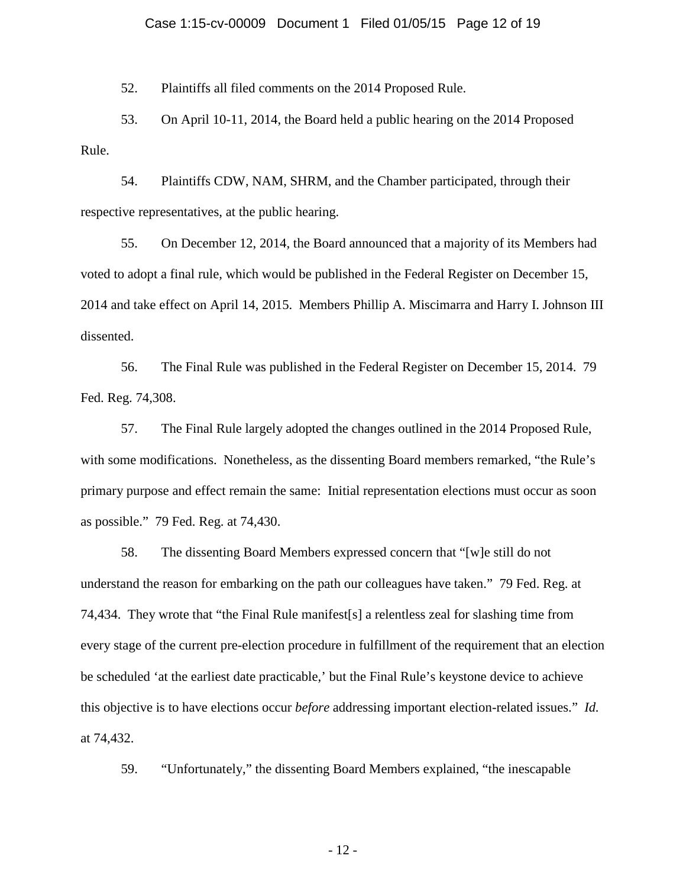#### Case 1:15-cv-00009 Document 1 Filed 01/05/15 Page 12 of 19

52. Plaintiffs all filed comments on the 2014 Proposed Rule.

53. On April 10-11, 2014, the Board held a public hearing on the 2014 Proposed Rule.

54. Plaintiffs CDW, NAM, SHRM, and the Chamber participated, through their respective representatives, at the public hearing.

55. On December 12, 2014, the Board announced that a majority of its Members had voted to adopt a final rule, which would be published in the Federal Register on December 15, 2014 and take effect on April 14, 2015. Members Phillip A. Miscimarra and Harry I. Johnson III dissented.

56. The Final Rule was published in the Federal Register on December 15, 2014. 79 Fed. Reg. 74,308.

57. The Final Rule largely adopted the changes outlined in the 2014 Proposed Rule, with some modifications. Nonetheless, as the dissenting Board members remarked, "the Rule's primary purpose and effect remain the same: Initial representation elections must occur as soon as possible." 79 Fed. Reg. at 74,430.

58. The dissenting Board Members expressed concern that "[w]e still do not understand the reason for embarking on the path our colleagues have taken." 79 Fed. Reg. at 74,434. They wrote that "the Final Rule manifest[s] a relentless zeal for slashing time from every stage of the current pre-election procedure in fulfillment of the requirement that an election be scheduled 'at the earliest date practicable,' but the Final Rule's keystone device to achieve this objective is to have elections occur *before* addressing important election-related issues." *Id.* at 74,432.

59. "Unfortunately," the dissenting Board Members explained, "the inescapable

- 12 -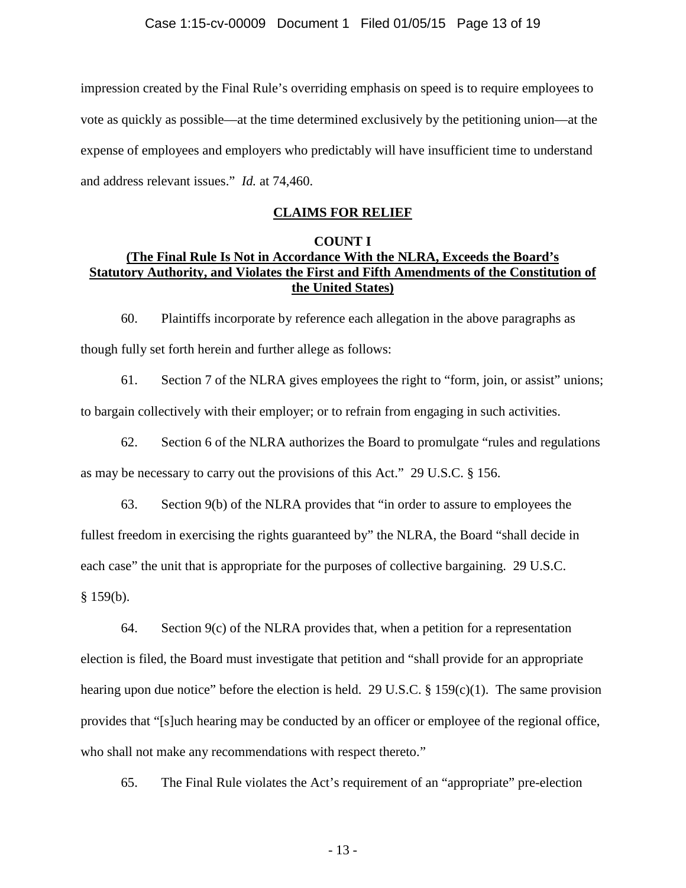## Case 1:15-cv-00009 Document 1 Filed 01/05/15 Page 13 of 19

impression created by the Final Rule's overriding emphasis on speed is to require employees to vote as quickly as possible—at the time determined exclusively by the petitioning union—at the expense of employees and employers who predictably will have insufficient time to understand and address relevant issues." *Id.* at 74,460.

## **CLAIMS FOR RELIEF**

# **COUNT I (The Final Rule Is Not in Accordance With the NLRA, Exceeds the Board's Statutory Authority, and Violates the First and Fifth Amendments of the Constitution of the United States)**

60. Plaintiffs incorporate by reference each allegation in the above paragraphs as though fully set forth herein and further allege as follows:

61. Section 7 of the NLRA gives employees the right to "form, join, or assist" unions; to bargain collectively with their employer; or to refrain from engaging in such activities.

62. Section 6 of the NLRA authorizes the Board to promulgate "rules and regulations as may be necessary to carry out the provisions of this Act." 29 U.S.C. § 156.

63. Section 9(b) of the NLRA provides that "in order to assure to employees the fullest freedom in exercising the rights guaranteed by" the NLRA, the Board "shall decide in each case" the unit that is appropriate for the purposes of collective bargaining. 29 U.S.C.  $§$  159(b).

64. Section 9(c) of the NLRA provides that, when a petition for a representation election is filed, the Board must investigate that petition and "shall provide for an appropriate hearing upon due notice" before the election is held. 29 U.S.C. § 159(c)(1). The same provision provides that "[s]uch hearing may be conducted by an officer or employee of the regional office, who shall not make any recommendations with respect thereto."

65. The Final Rule violates the Act's requirement of an "appropriate" pre-election

- 13 -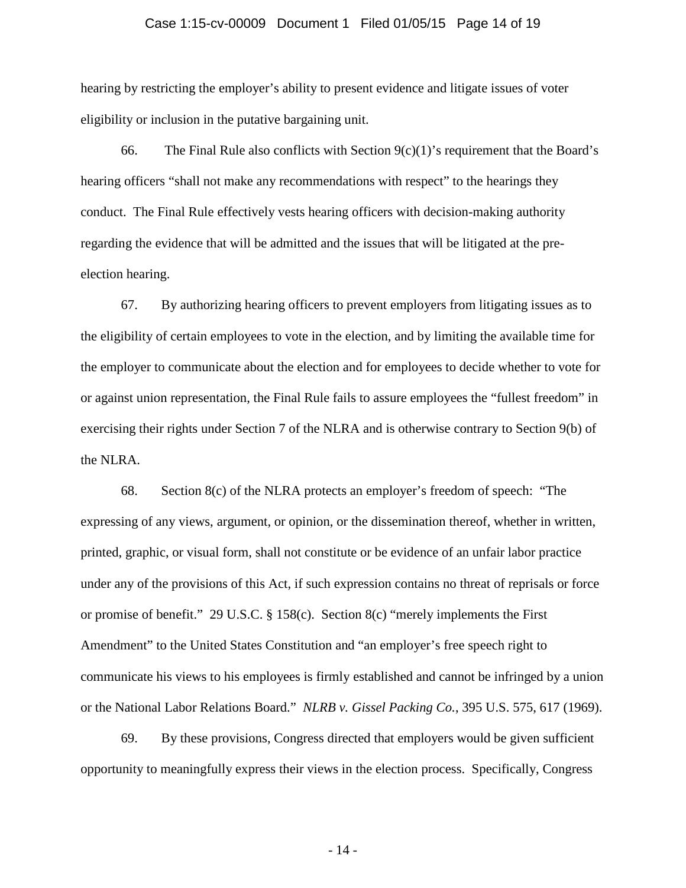#### Case 1:15-cv-00009 Document 1 Filed 01/05/15 Page 14 of 19

hearing by restricting the employer's ability to present evidence and litigate issues of voter eligibility or inclusion in the putative bargaining unit.

66. The Final Rule also conflicts with Section  $9(c)(1)$ 's requirement that the Board's hearing officers "shall not make any recommendations with respect" to the hearings they conduct. The Final Rule effectively vests hearing officers with decision-making authority regarding the evidence that will be admitted and the issues that will be litigated at the preelection hearing.

67. By authorizing hearing officers to prevent employers from litigating issues as to the eligibility of certain employees to vote in the election, and by limiting the available time for the employer to communicate about the election and for employees to decide whether to vote for or against union representation, the Final Rule fails to assure employees the "fullest freedom" in exercising their rights under Section 7 of the NLRA and is otherwise contrary to Section 9(b) of the NLRA.

68. Section 8(c) of the NLRA protects an employer's freedom of speech: "The expressing of any views, argument, or opinion, or the dissemination thereof, whether in written, printed, graphic, or visual form, shall not constitute or be evidence of an unfair labor practice under any of the provisions of this Act, if such expression contains no threat of reprisals or force or promise of benefit." 29 U.S.C. § 158(c). Section 8(c) "merely implements the First Amendment" to the United States Constitution and "an employer's free speech right to communicate his views to his employees is firmly established and cannot be infringed by a union or the National Labor Relations Board." *NLRB v. Gissel Packing Co.*, 395 U.S. 575, 617 (1969).

69. By these provisions, Congress directed that employers would be given sufficient opportunity to meaningfully express their views in the election process. Specifically, Congress

- 14 -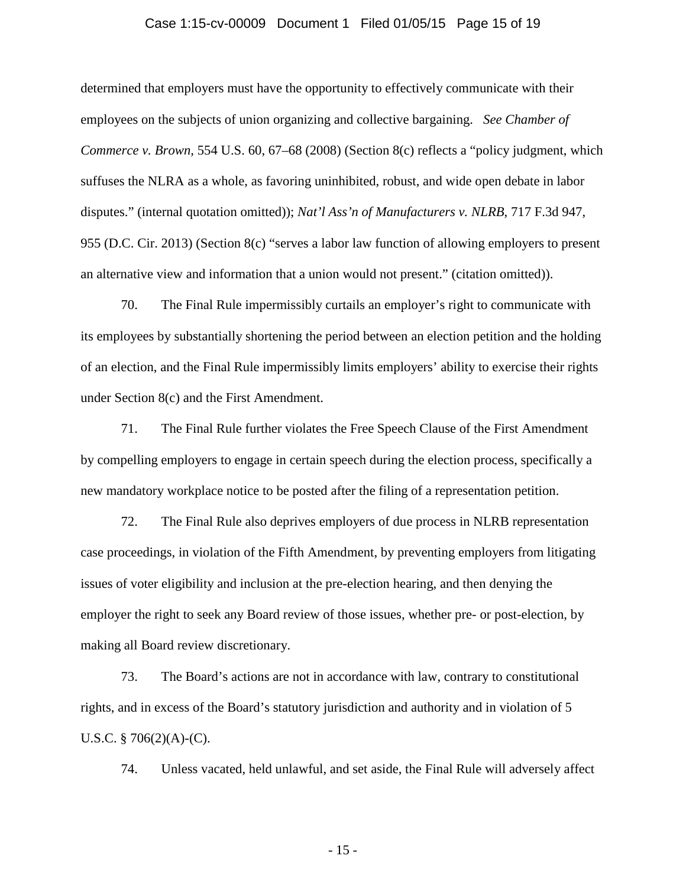# Case 1:15-cv-00009 Document 1 Filed 01/05/15 Page 15 of 19

determined that employers must have the opportunity to effectively communicate with their employees on the subjects of union organizing and collective bargaining. *See Chamber of Commerce v. Brown,* 554 U.S. 60, 67–68 (2008) (Section 8(c) reflects a "policy judgment, which suffuses the NLRA as a whole, as favoring uninhibited, robust, and wide open debate in labor disputes." (internal quotation omitted)); *Nat'l Ass'n of Manufacturers v. NLRB*, 717 F.3d 947, 955 (D.C. Cir. 2013) (Section 8(c) "serves a labor law function of allowing employers to present an alternative view and information that a union would not present." (citation omitted)).

70. The Final Rule impermissibly curtails an employer's right to communicate with its employees by substantially shortening the period between an election petition and the holding of an election, and the Final Rule impermissibly limits employers' ability to exercise their rights under Section 8(c) and the First Amendment.

71. The Final Rule further violates the Free Speech Clause of the First Amendment by compelling employers to engage in certain speech during the election process, specifically a new mandatory workplace notice to be posted after the filing of a representation petition.

72. The Final Rule also deprives employers of due process in NLRB representation case proceedings, in violation of the Fifth Amendment, by preventing employers from litigating issues of voter eligibility and inclusion at the pre-election hearing, and then denying the employer the right to seek any Board review of those issues, whether pre- or post-election, by making all Board review discretionary.

73. The Board's actions are not in accordance with law, contrary to constitutional rights, and in excess of the Board's statutory jurisdiction and authority and in violation of 5 U.S.C.  $\S$  706(2)(A)-(C).

74. Unless vacated, held unlawful, and set aside, the Final Rule will adversely affect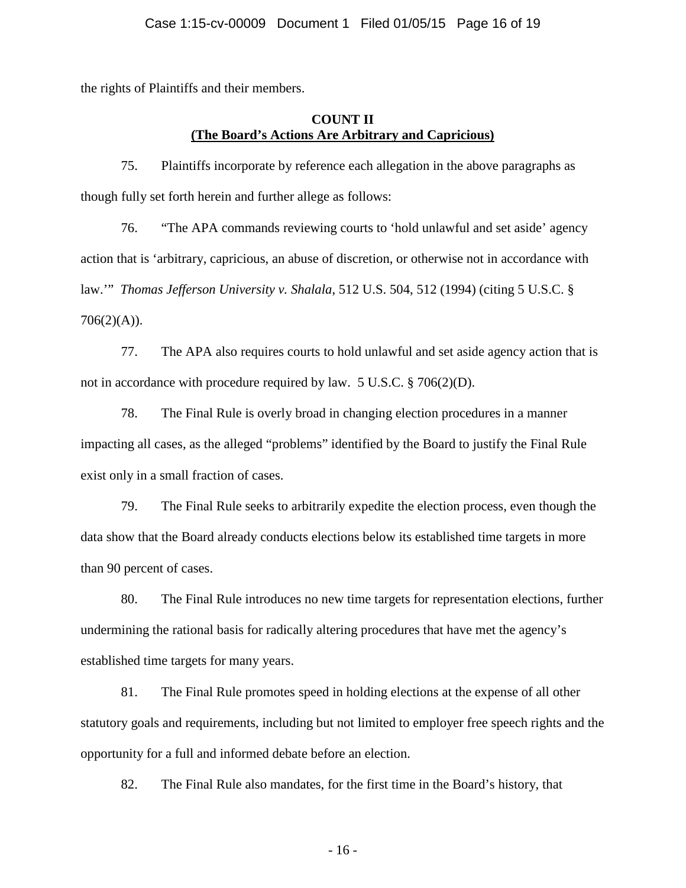the rights of Plaintiffs and their members.

# **COUNT II (The Board's Actions Are Arbitrary and Capricious)**

75. Plaintiffs incorporate by reference each allegation in the above paragraphs as though fully set forth herein and further allege as follows:

76. "The APA commands reviewing courts to 'hold unlawful and set aside' agency action that is 'arbitrary, capricious, an abuse of discretion, or otherwise not in accordance with law.'" *Thomas Jefferson University v. Shalala*, 512 U.S. 504, 512 (1994) (citing 5 U.S.C. §  $706(2)(A)$ ).

77. The APA also requires courts to hold unlawful and set aside agency action that is not in accordance with procedure required by law. 5 U.S.C. § 706(2)(D).

78. The Final Rule is overly broad in changing election procedures in a manner impacting all cases, as the alleged "problems" identified by the Board to justify the Final Rule exist only in a small fraction of cases.

79. The Final Rule seeks to arbitrarily expedite the election process, even though the data show that the Board already conducts elections below its established time targets in more than 90 percent of cases.

80. The Final Rule introduces no new time targets for representation elections, further undermining the rational basis for radically altering procedures that have met the agency's established time targets for many years.

81. The Final Rule promotes speed in holding elections at the expense of all other statutory goals and requirements, including but not limited to employer free speech rights and the opportunity for a full and informed debate before an election.

82. The Final Rule also mandates, for the first time in the Board's history, that

- 16 -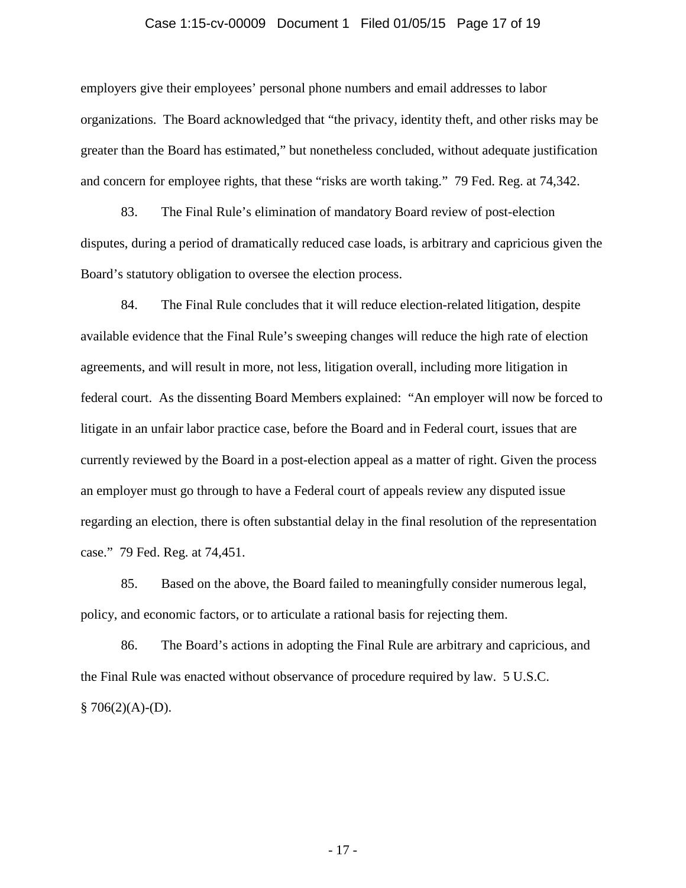#### Case 1:15-cv-00009 Document 1 Filed 01/05/15 Page 17 of 19

employers give their employees' personal phone numbers and email addresses to labor organizations. The Board acknowledged that "the privacy, identity theft, and other risks may be greater than the Board has estimated," but nonetheless concluded, without adequate justification and concern for employee rights, that these "risks are worth taking." 79 Fed. Reg. at 74,342.

83. The Final Rule's elimination of mandatory Board review of post-election disputes, during a period of dramatically reduced case loads, is arbitrary and capricious given the Board's statutory obligation to oversee the election process.

84. The Final Rule concludes that it will reduce election-related litigation, despite available evidence that the Final Rule's sweeping changes will reduce the high rate of election agreements, and will result in more, not less, litigation overall, including more litigation in federal court. As the dissenting Board Members explained: "An employer will now be forced to litigate in an unfair labor practice case, before the Board and in Federal court, issues that are currently reviewed by the Board in a post-election appeal as a matter of right. Given the process an employer must go through to have a Federal court of appeals review any disputed issue regarding an election, there is often substantial delay in the final resolution of the representation case." 79 Fed. Reg. at 74,451.

85. Based on the above, the Board failed to meaningfully consider numerous legal, policy, and economic factors, or to articulate a rational basis for rejecting them.

86. The Board's actions in adopting the Final Rule are arbitrary and capricious, and the Final Rule was enacted without observance of procedure required by law. 5 U.S.C.  $§ 706(2)(A)-D).$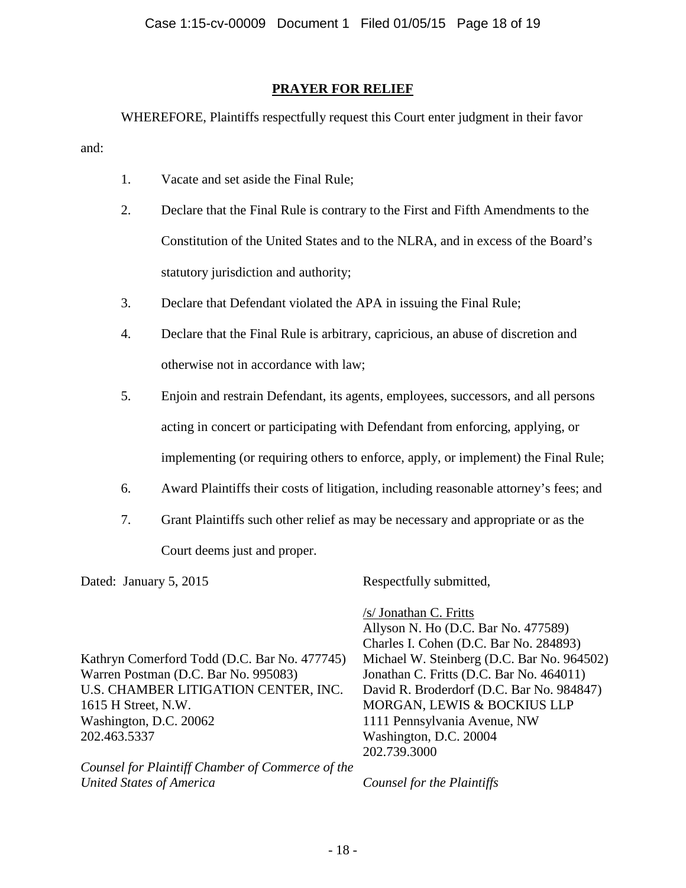# **PRAYER FOR RELIEF**

WHEREFORE, Plaintiffs respectfully request this Court enter judgment in their favor and:

- 1. Vacate and set aside the Final Rule;
- 2. Declare that the Final Rule is contrary to the First and Fifth Amendments to the Constitution of the United States and to the NLRA, and in excess of the Board's statutory jurisdiction and authority;
- 3. Declare that Defendant violated the APA in issuing the Final Rule;
- 4. Declare that the Final Rule is arbitrary, capricious, an abuse of discretion and otherwise not in accordance with law;
- 5. Enjoin and restrain Defendant, its agents, employees, successors, and all persons acting in concert or participating with Defendant from enforcing, applying, or implementing (or requiring others to enforce, apply, or implement) the Final Rule;
- 6. Award Plaintiffs their costs of litigation, including reasonable attorney's fees; and
- 7. Grant Plaintiffs such other relief as may be necessary and appropriate or as the Court deems just and proper.

Dated: January 5, 2015 Respectfully submitted, Kathryn Comerford Todd (D.C. Bar No. 477745) Warren Postman (D.C. Bar No. 995083) U.S. CHAMBER LITIGATION CENTER, INC. 1615 H Street, N.W. Washington, D.C. 20062 202.463.5337 /s/ Jonathan C. Fritts Allyson N. Ho (D.C. Bar No. 477589) Charles I. Cohen (D.C. Bar No. 284893) Michael W. Steinberg (D.C. Bar No. 964502) Jonathan C. Fritts (D.C. Bar No. 464011) David R. Broderdorf (D.C. Bar No. 984847) MORGAN, LEWIS & BOCKIUS LLP 1111 Pennsylvania Avenue, NW Washington, D.C. 20004 202.739.3000

*Counsel for Plaintiff Chamber of Commerce of the United States of America*

*Counsel for the Plaintiffs*